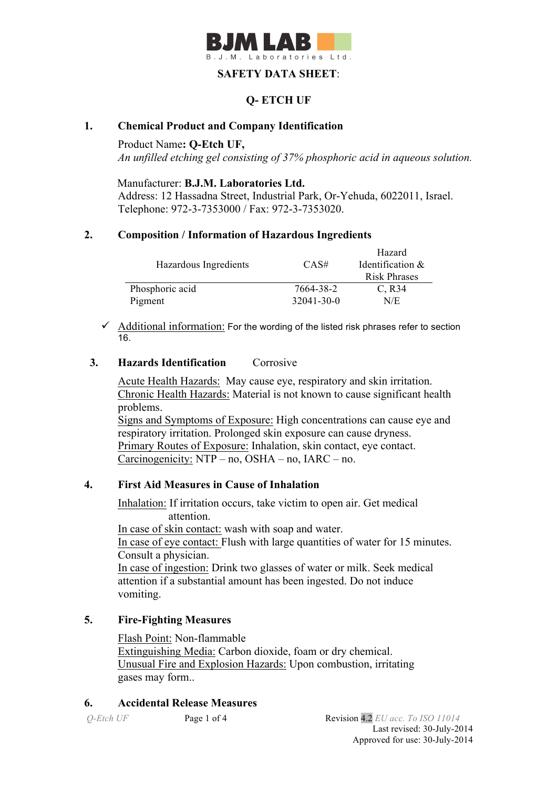

## **SAFETY DATA SHEET**:

## **Q- ETCH UF**

### **1. Chemical Product and Company Identification**

Product Name**: Q-Etch UF,**

*An unfilled etching gel consisting of 37% phosphoric acid in aqueous solution.*

Manufacturer: **B.J.M. Laboratories Ltd.**

Address: 12 Hassadna Street, Industrial Park, Or-Yehuda, 6022011, Israel. Telephone: 972-3-7353000 / Fax: 972-3-7353020.

#### **2. Composition / Information of Hazardous Ingredients**

|                       |                  | Hazard              |
|-----------------------|------------------|---------------------|
| Hazardous Ingredients | CAS#             | Identification &    |
|                       |                  | <b>Risk Phrases</b> |
| Phosphoric acid       | 7664-38-2        | $C$ , R34           |
| Pigment               | $32041 - 30 - 0$ | N/E                 |

 $\checkmark$  Additional information: For the wording of the listed risk phrases refer to section 16.

#### **3. Hazards Identification** Corrosive

Acute Health Hazards: May cause eye, respiratory and skin irritation. Chronic Health Hazards: Material is not known to cause significant health problems. Signs and Symptoms of Exposure: High concentrations can cause eye and respiratory irritation. Prolonged skin exposure can cause dryness. Primary Routes of Exposure: Inhalation, skin contact, eye contact. Carcinogenicity: NTP – no, OSHA – no, IARC – no.

## **4. First Aid Measures in Cause of Inhalation**

 Inhalation: If irritation occurs, take victim to open air. Get medical attention. In case of skin contact: wash with soap and water. In case of eye contact: Flush with large quantities of water for 15 minutes. Consult a physician. In case of ingestion: Drink two glasses of water or milk. Seek medical attention if a substantial amount has been ingested. Do not induce vomiting.

## **5. Fire-Fighting Measures**

Flash Point: Non-flammable Extinguishing Media: Carbon dioxide, foam or dry chemical. Unusual Fire and Explosion Hazards: Upon combustion, irritating gases may form..

## **6. Accidental Release Measures**

*Q-Etch UF* **Page 1 of 4 Revision 4.2** *EU acc. To ISO 11014* Last revised: 30-July-2014 Approved for use: 30-July-2014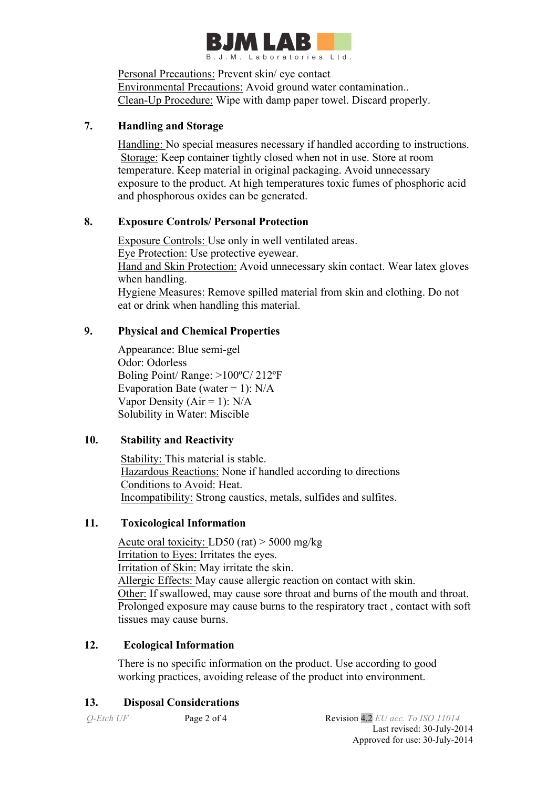

Personal Precautions: Prevent skin/ eye contact Environmental Precautions: Avoid ground water contamination.. Clean-Up Procedure: Wipe with damp paper towel. Discard properly.

## **7. Handling and Storage**

 Handling: No special measures necessary if handled according to instructions. Storage: Keep container tightly closed when not in use. Store at room temperature. Keep material in original packaging. Avoid unnecessary exposure to the product. At high temperatures toxic fumes of phosphoric acid and phosphorous oxides can be generated.

## **8. Exposure Controls/ Personal Protection**

 Exposure Controls: Use only in well ventilated areas. Eye Protection: Use protective eyewear. Hand and Skin Protection: Avoid unnecessary skin contact. Wear latex gloves when handling. Hygiene Measures: Remove spilled material from skin and clothing. Do not eat or drink when handling this material.

## **9. Physical and Chemical Properties**

Appearance: Blue semi-gel Odor: Odorless Boling Point/ Range: >100ºC/ 212ºF Evaporation Bate (water = 1):  $N/A$ Vapor Density ( $Air = 1$ ):  $N/A$ Solubility in Water: Miscible

# **10. Stability and Reactivity**

 Stability: This material is stable. Hazardous Reactions: None if handled according to directions Conditions to Avoid: Heat. Incompatibility: Strong caustics, metals, sulfides and sulfites.

## **11. Toxicological Information**

Acute oral toxicity: LD50 (rat) > 5000 mg/kg Irritation to Eyes: Irritates the eyes. Irritation of Skin: May irritate the skin. Allergic Effects: May cause allergic reaction on contact with skin. Other: If swallowed, may cause sore throat and burns of the mouth and throat. Prolonged exposure may cause burns to the respiratory tract , contact with soft tissues may cause burns.

## **12. Ecological Information**

There is no specific information on the product. Use according to good working practices, avoiding release of the product into environment.

## **13. Disposal Considerations**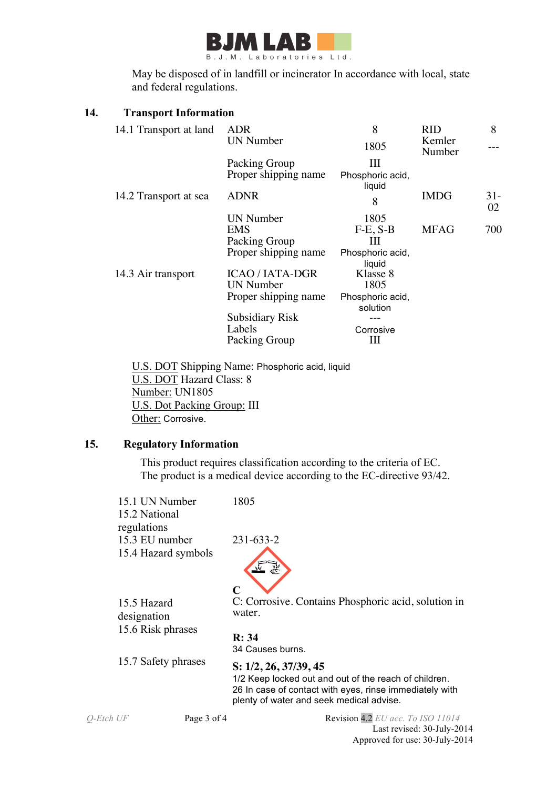

 May be disposed of in landfill or incinerator In accordance with local, state and federal regulations.

### **14. Transport Information**

| 14.1 Transport at land | <b>ADR</b>             | 8                            | <b>RID</b>       | 8           |
|------------------------|------------------------|------------------------------|------------------|-------------|
|                        | <b>UN Number</b>       | 1805                         | Kemler<br>Number |             |
|                        | Packing Group          | Ш                            |                  |             |
|                        | Proper shipping name   | Phosphoric acid,<br>liquid   |                  |             |
| 14.2 Transport at sea  | ADNR                   | 8                            | <b>IMDG</b>      | $31-$<br>02 |
|                        | <b>UN Number</b>       | 1805                         |                  |             |
|                        | <b>EMS</b>             | $F-E, S-B$                   | <b>MFAG</b>      | 700         |
|                        | Packing Group          | Ш                            |                  |             |
|                        | Proper shipping name   | Phosphoric acid,<br>liquid   |                  |             |
| 14.3 Air transport     | <b>ICAO / IATA-DGR</b> | Klasse 8                     |                  |             |
|                        | <b>UN Number</b>       | 1805                         |                  |             |
|                        | Proper shipping name   | Phosphoric acid,<br>solution |                  |             |
|                        | <b>Subsidiary Risk</b> |                              |                  |             |
|                        | Labels                 | Corrosive                    |                  |             |
|                        | Packing Group          | Ш                            |                  |             |

 U.S. DOT Shipping Name: Phosphoric acid, liquid U.S. DOT Hazard Class: 8 Number: UN1805 U.S. Dot Packing Group: III Other: Corrosive.

# **15. Regulatory Information**

This product requires classification according to the criteria of EC. The product is a medical device according to the EC-directive 93/42.

|                                                 | 15.1 UN Number<br>15.2 National                                             | 1805                                                                                                                                                                                                      |
|-------------------------------------------------|-----------------------------------------------------------------------------|-----------------------------------------------------------------------------------------------------------------------------------------------------------------------------------------------------------|
|                                                 | regulations<br>15.3 EU number<br>15.4 Hazard symbols                        | $231 - 633 - 2$                                                                                                                                                                                           |
| 15.5 Hazard<br>designation<br>15.6 Risk phrases | C<br>C: Corrosive. Contains Phosphoric acid, solution in<br>water.<br>R: 34 |                                                                                                                                                                                                           |
| 15.7 Safety phrases                             |                                                                             | 34 Causes burns.<br>S: 1/2, 26, 37/39, 45<br>1/2 Keep locked out and out of the reach of children.<br>26 In case of contact with eyes, rinse immediately with<br>plenty of water and seek medical advise. |
| Q-Etch UF                                       | Page 3 of 4                                                                 | Revision 4.2 EU acc. To ISO 11014<br>Last revised: 30-July-2014<br>Approved for use: 30-July-2014                                                                                                         |